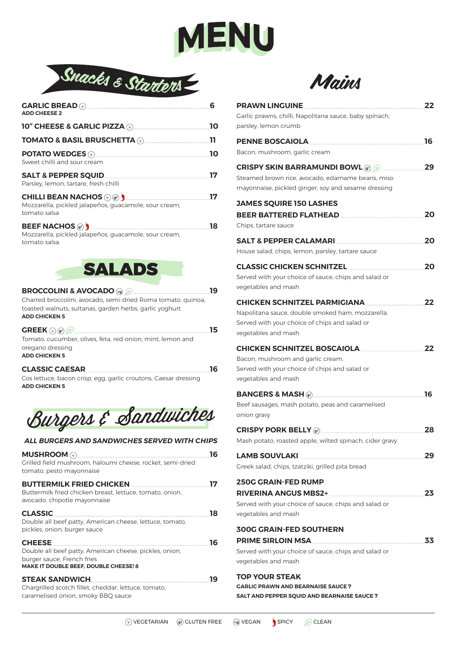



| <b>ADD CHEESE 2</b>                                                                                                                                                                                                                         | 6  |
|---------------------------------------------------------------------------------------------------------------------------------------------------------------------------------------------------------------------------------------------|----|
| 10" CHEESE & GARLIC PIZZA (2) 2008 2009 2009 2010 2021 2030 2041 2052 2053 2054 2055 2056 2057 2058 2059 2059                                                                                                                               | 10 |
| <b>TOMATO &amp; BASIL BRUSCHETTA (V) AND RESEXTLE TOMATO &amp; BASIL BRUSCHETTA (V)</b>                                                                                                                                                     |    |
| Sweet chilli and sour cream                                                                                                                                                                                                                 | 10 |
| Parsley, lemon, tartare, fresh chilli                                                                                                                                                                                                       | 17 |
| <b>CHILLI BEAN NACHOS (V) (Gf) (a) (a) (b) (b) (b) (b) (d) (d) (d) (d) (d) (d) (d) (d) (d) (d) (d) (d) (d) (d) (d) (d) (d) (d) (d) (d) (d) (d) (d) (d) (d) (d)</b><br>Mozzarella, pickled jalapeños, quacamole, sour cream,<br>tomato salsa |    |
| <b>BEEF NACHOS (sf)</b><br>Mozzarella, pickled jalapeños, guacamole, sour cream,<br>tomato salsa                                                                                                                                            | 18 |
|                                                                                                                                                                                                                                             |    |



**BROCCOLINI & AVOCADO 19** Charred broccolini, avocado, semi-dried Roma tomato, quinoa, toasted walnuts, sultanas, garden herbs, garlic yoghurt **ADD CHICKEN 5**

| $\textbf{GREEK} \odot \textbf{g} \textbf{f} \textbf{B} \textbf{B} \textbf{B} \textbf{C} \textbf{C} \textbf{D} \textbf{A} \textbf{A} \textbf{B} \textbf{B} \textbf{B} \textbf{B} \textbf{C} \textbf{B} \textbf{C} \textbf{B} \textbf{C} \textbf{B} \textbf{C} \textbf{C} \textbf{D} \textbf{C} \textbf{D} \textbf{C} \textbf{D} \textbf{C} \textbf{D} \textbf{C} \textbf{D} \textbf{D} \textbf{D} \textbf{D} \textbf{D}$ | 15 |
|-------------------------------------------------------------------------------------------------------------------------------------------------------------------------------------------------------------------------------------------------------------------------------------------------------------------------------------------------------------------------------------------------------------------------|----|
| Tomato, cucumber, olives, feta, red onion, mint, lemon and                                                                                                                                                                                                                                                                                                                                                              |    |
| oregano dressing                                                                                                                                                                                                                                                                                                                                                                                                        |    |
| <b>ADD CHICKEN 5</b>                                                                                                                                                                                                                                                                                                                                                                                                    |    |

#### **CLASSIC CAESAR 16**

Cos lettuce, bacon crisp, egg, garlic croutons, Caesar dressing **ADD CHICKEN 5**



#### *ALL BURGERS AND SANDWICHES SERVED WITH CHIPS*

| Grilled field mushroom, haloumi cheese, rocket, semi-dried<br>tomato, pesto mayonnaise                                                          | 16 |
|-------------------------------------------------------------------------------------------------------------------------------------------------|----|
| BUTTERMILK FRIED CHICKEN <b>Example 2018</b><br>Buttermilk fried chicken breast, lettuce, tomato, onion,<br>avocado, chipotle mayonnaise        |    |
| <b>CLASSIC</b><br>Double all beef patty, American cheese, lettuce, tomato,<br>pickles, onion, burger sauce                                      | 18 |
| <b>CHEESE</b><br>Double all beef patty, American cheese, pickles, onion,<br>burger sauce, French fries<br>MAKE IT DOUBLE BEEF, DOUBLE CHEESE! 8 | 16 |
| <b>STEAK SANDWICH</b><br>Chargrilled scotch fillet, cheddar, lettuce, tomato,<br>caramelised onion, smoky BBQ sauce                             | 19 |



| PRAWN LINGUINE <b>MARKET AND REASONAL PRAWN</b><br>Garlic prawns, chilli, Napolitana sauce, baby spinach,<br>parsley, lemon crumb                        | 22 |
|----------------------------------------------------------------------------------------------------------------------------------------------------------|----|
| PENNE BOSCAIOLA<br>Bacon, mushroom, garlic cream                                                                                                         | 16 |
| Steamed brown rice, avocado, edamame beans, miso<br>mayonnaise, pickled ginger, soy and sesame dressing                                                  | 29 |
| <b>JAMES SQUIRE 150 LASHES</b><br>BEER BATTERED FLATHEAD<br>Chips, tartare sauce                                                                         | 20 |
| SALT & PEPPER CALAMARI<br>House salad, chips, lemon, parsley, tartare sauce                                                                              | 20 |
| <b>CLASSIC CHICKEN SCHNITZEL</b><br>Served with your choice of sauce, chips and salad or<br>vegetables and mash                                          | 20 |
| CHICKEN SCHNITZEL PARMIGIANA<br>Napolitana sauce, double smoked ham, mozzarella.<br>Served with your choice of chips and salad or<br>vegetables and mash | 22 |
| CHICKEN SCHNITZEL BOSCAIOLA<br>Bacon, mushroom and garlic cream.<br>Served with your choice of chips and salad or<br>vegetables and mash                 | 22 |
| Beef sausages, mash potato, peas and caramelised<br>onion gravy                                                                                          | 16 |
| Mash potato, roasted apple, wilted spinach, cider gravy                                                                                                  | 28 |
| LAMB SOUVLAKI 29<br>Greek salad, chips, tzatziki, grilled pita bread                                                                                     |    |
| <b>250G GRAIN-FED RUMP</b><br>Served with your choice of sauce, chips and salad or<br>vegetables and mash                                                | 23 |
| <b>300G GRAIN-FED SOUTHERN</b><br>PRIME SIRLOIN MSA<br>Served with your choice of sauce, chips and salad or<br>vegetables and mash                       | 33 |
| <b>TOP YOUR STEAK</b><br><b>GARLIC PRAWN AND BEARNAISE SAUCE 7</b>                                                                                       |    |

**SALT AND PEPPER SQUID AND BEARNAISE SAUCE 7**